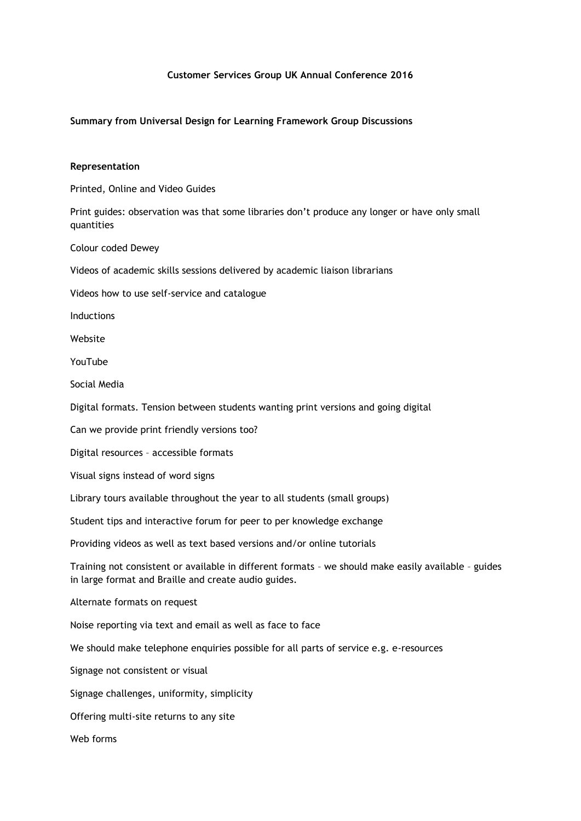# **Customer Services Group UK Annual Conference 2016**

### **Summary from Universal Design for Learning Framework Group Discussions**

#### **Representation**

Printed, Online and Video Guides

Print guides: observation was that some libraries don't produce any longer or have only small quantities

Colour coded Dewey

Videos of academic skills sessions delivered by academic liaison librarians

Videos how to use self-service and catalogue

Inductions

Website

YouTube

Social Media

Digital formats. Tension between students wanting print versions and going digital

Can we provide print friendly versions too?

Digital resources – accessible formats

Visual signs instead of word signs

Library tours available throughout the year to all students (small groups)

Student tips and interactive forum for peer to per knowledge exchange

Providing videos as well as text based versions and/or online tutorials

Training not consistent or available in different formats – we should make easily available – guides in large format and Braille and create audio guides.

Alternate formats on request

Noise reporting via text and email as well as face to face

We should make telephone enquiries possible for all parts of service e.g. e-resources

Signage not consistent or visual

Signage challenges, uniformity, simplicity

Offering multi-site returns to any site

Web forms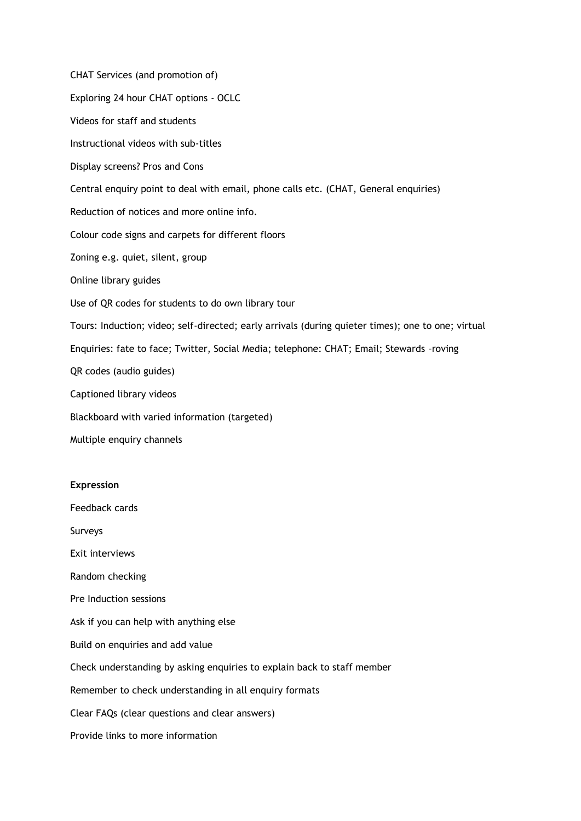CHAT Services (and promotion of) Exploring 24 hour CHAT options - OCLC Videos for staff and students Instructional videos with sub-titles Display screens? Pros and Cons Central enquiry point to deal with email, phone calls etc. (CHAT, General enquiries) Reduction of notices and more online info. Colour code signs and carpets for different floors Zoning e.g. quiet, silent, group Online library guides Use of QR codes for students to do own library tour Tours: Induction; video; self-directed; early arrivals (during quieter times); one to one; virtual Enquiries: fate to face; Twitter, Social Media; telephone: CHAT; Email; Stewards –roving QR codes (audio guides) Captioned library videos Blackboard with varied information (targeted) Multiple enquiry channels

# **Expression**

Feedback cards

Surveys

Exit interviews

Random checking

Pre Induction sessions

Ask if you can help with anything else

Build on enquiries and add value

Check understanding by asking enquiries to explain back to staff member

Remember to check understanding in all enquiry formats

Clear FAQs (clear questions and clear answers)

Provide links to more information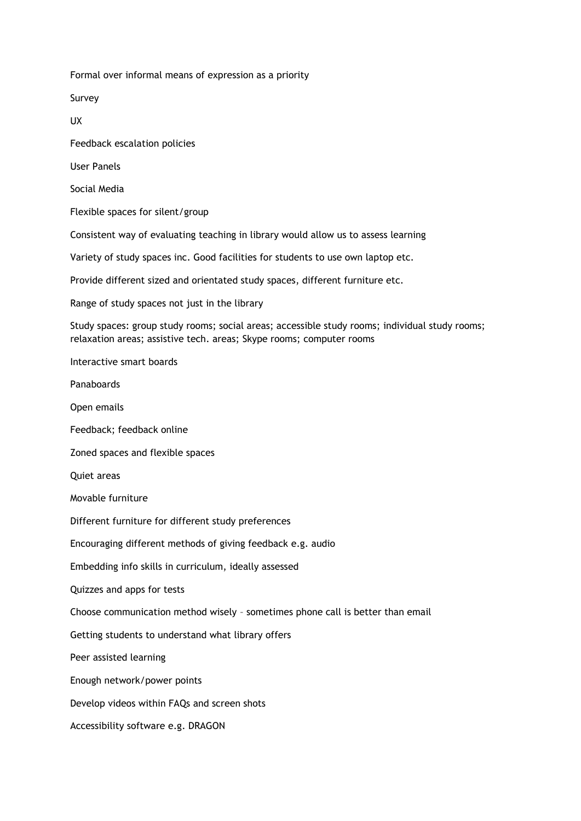Formal over informal means of expression as a priority

Survey

UX

Feedback escalation policies

User Panels

Social Media

Flexible spaces for silent/group

Consistent way of evaluating teaching in library would allow us to assess learning

Variety of study spaces inc. Good facilities for students to use own laptop etc.

Provide different sized and orientated study spaces, different furniture etc.

Range of study spaces not just in the library

Study spaces: group study rooms; social areas; accessible study rooms; individual study rooms; relaxation areas; assistive tech. areas; Skype rooms; computer rooms

Interactive smart boards

Panaboards

Open emails

Feedback; feedback online

Zoned spaces and flexible spaces

Quiet areas

Movable furniture

Different furniture for different study preferences

Encouraging different methods of giving feedback e.g. audio

Embedding info skills in curriculum, ideally assessed

Quizzes and apps for tests

Choose communication method wisely – sometimes phone call is better than email

Getting students to understand what library offers

Peer assisted learning

Enough network/power points

Develop videos within FAQs and screen shots

Accessibility software e.g. DRAGON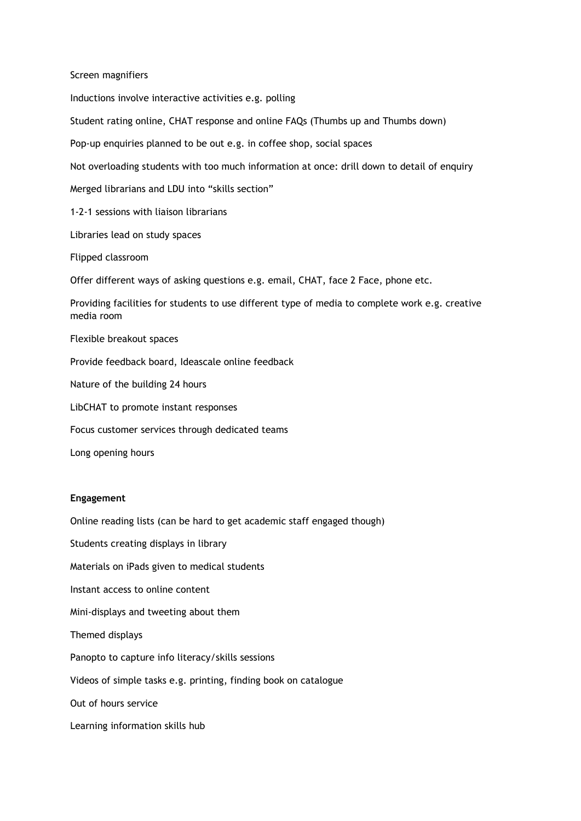Screen magnifiers Inductions involve interactive activities e.g. polling Student rating online, CHAT response and online FAQs (Thumbs up and Thumbs down) Pop-up enquiries planned to be out e.g. in coffee shop, social spaces Not overloading students with too much information at once: drill down to detail of enquiry Merged librarians and LDU into "skills section" 1-2-1 sessions with liaison librarians Libraries lead on study spaces Flipped classroom Offer different ways of asking questions e.g. email, CHAT, face 2 Face, phone etc. Providing facilities for students to use different type of media to complete work e.g. creative media room Flexible breakout spaces Provide feedback board, Ideascale online feedback Nature of the building 24 hours LibCHAT to promote instant responses Focus customer services through dedicated teams

Long opening hours

# **Engagement**

Online reading lists (can be hard to get academic staff engaged though)

Students creating displays in library Materials on iPads given to medical students Instant access to online content Mini-displays and tweeting about them Themed displays Panopto to capture info literacy/skills sessions Videos of simple tasks e.g. printing, finding book on catalogue Out of hours service Learning information skills hub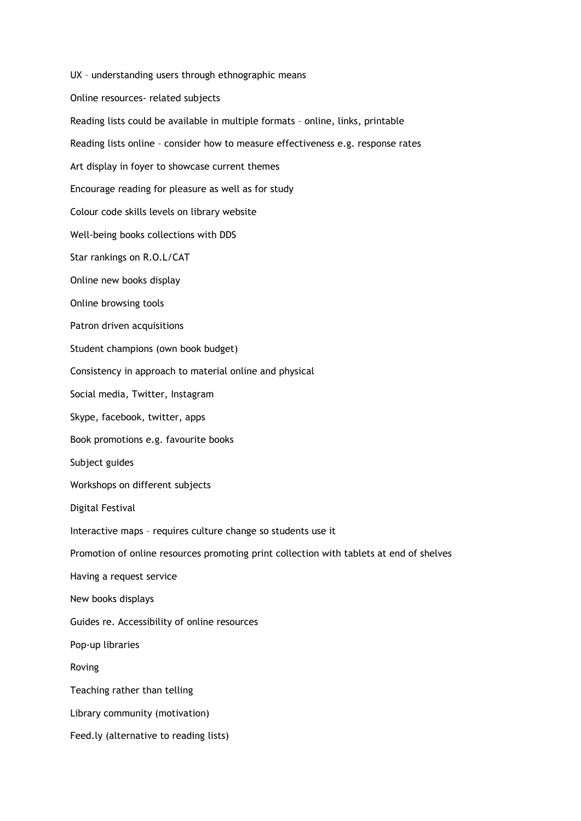UX – understanding users through ethnographic means Online resources- related subjects Reading lists could be available in multiple formats – online, links, printable Reading lists online – consider how to measure effectiveness e.g. response rates Art display in foyer to showcase current themes Encourage reading for pleasure as well as for study Colour code skills levels on library website Well-being books collections with DDS Star rankings on R.O.L/CAT Online new books display Online browsing tools Patron driven acquisitions Student champions (own book budget) Consistency in approach to material online and physical Social media, Twitter, Instagram Skype, facebook, twitter, apps Book promotions e.g. favourite books Subject guides Workshops on different subjects Digital Festival Interactive maps – requires culture change so students use it Promotion of online resources promoting print collection with tablets at end of shelves Having a request service New books displays Guides re. Accessibility of online resources Pop-up libraries Roving Teaching rather than telling Library community (motivation) Feed.ly (alternative to reading lists)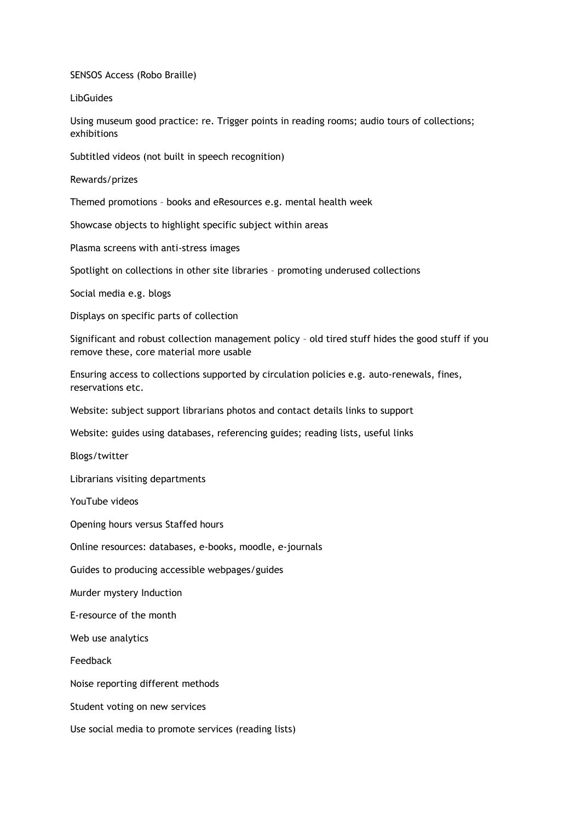SENSOS Access (Robo Braille)

**LibGuides** 

Using museum good practice: re. Trigger points in reading rooms; audio tours of collections; exhibitions

Subtitled videos (not built in speech recognition)

Rewards/prizes

Themed promotions – books and eResources e.g. mental health week

Showcase objects to highlight specific subject within areas

Plasma screens with anti-stress images

Spotlight on collections in other site libraries – promoting underused collections

Social media e.g. blogs

Displays on specific parts of collection

Significant and robust collection management policy – old tired stuff hides the good stuff if you remove these, core material more usable

Ensuring access to collections supported by circulation policies e.g. auto-renewals, fines, reservations etc.

Website: subject support librarians photos and contact details links to support

Website: guides using databases, referencing guides; reading lists, useful links

Blogs/twitter

Librarians visiting departments

YouTube videos

Opening hours versus Staffed hours

Online resources: databases, e-books, moodle, e-journals

Guides to producing accessible webpages/guides

Murder mystery Induction

E-resource of the month

Web use analytics

Feedback

Noise reporting different methods

Student voting on new services

Use social media to promote services (reading lists)